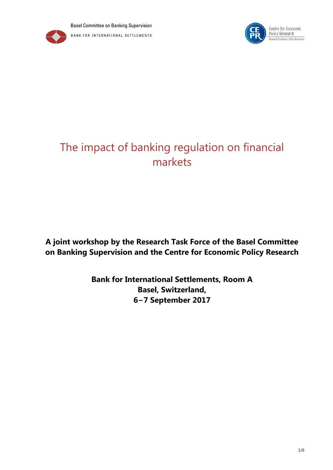

# The impact of banking regulation on financial markets

## **A joint workshop by the Research Task Force of the Basel Committee on Banking Supervision and the Centre for Economic Policy Research**

**Bank for International Settlements, Room A Basel, Switzerland, 6−7 September 2017**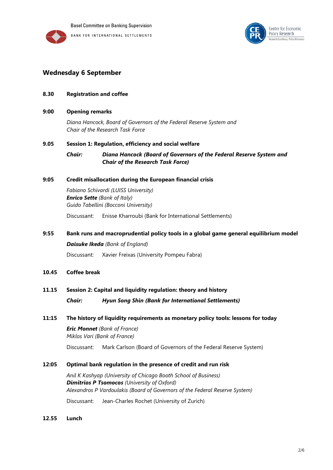



## **Wednesday 6 September**

## **8.30 Registration and coffee**

**9:00 Opening remarks** 

*Diana Hancock, Board of Governors of the Federal Reserve System and Chair of the Research Task Force*

## **9.05 Session 1: Regulation, efficiency and social welfare**

*Chair: Diana Hancock (Board of Governors of the Federal Reserve System and Chair of the Research Task Force)*

## **9:05 Credit misallocation during the European financial crisis**

*Fabiano Schivardi (LUISS University) Enrico Sette (Bank of Italy) Guido Tabellini (Bocconi University)*

Discussant: Enisse Kharroubi (Bank for International Settlements)

## **9:55 Bank runs and macroprudential policy tools in a global game general equilibrium model**

*Daisuke Ikeda (Bank of England)*

Discussant: Xavier Freixas (University Pompeu Fabra)

**10.45 Coffee break**

## **11.15 Session 2: Capital and liquidity regulation: theory and history**

*Chair: Hyun Song Shin (Bank for International Settlements)*

## **11:15 The history of liquidity requirements as monetary policy tools: lessons for today**

*Eric Monnet (Bank of France) Miklos Vari (Bank of France)*

Discussant: Mark Carlson (Board of Governors of the Federal Reserve System)

## **12:05 Optimal bank regulation in the presence of credit and run risk**

*Anil K Kashyap (University of Chicago Booth School of Business) Dimitrios P Tsomocos (University of Oxford) Alexandros P Vardoulakis (Board of Governors of the Federal Reserve System)*

Discussant: Jean-Charles Rochet (University of Zurich)

## **12.55 Lunch**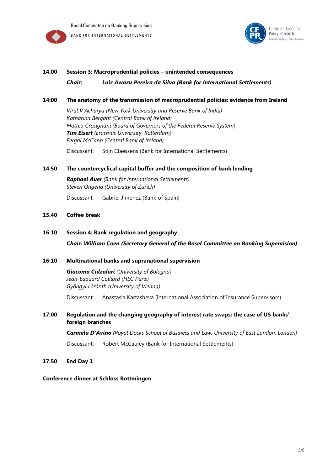



#### **14.00 Session 3: Macroprudential policies – unintended consequences**

*Chair: Luiz Awazu Pereira da Silva (Bank for International Settlements)*

## **14:00 The anatomy of the transmission of macroprudential policies: evidence from Ireland**

*Viral V Acharya (New York University and Reserve Bank of India) Katharina Bergant (Central Bank of Ireland) Matteo Crosignani (Board of Governors of the Federal Reserve System) Tim Eisert (Erasmus University, Rotterdam) Fergal McCann (Central Bank of Ireland)*

Discussant: Stijn Claessens (Bank for International Settlements)

## **14:50 The countercyclical capital buffer and the composition of bank lending**

*Raphael Auer (Bank for International Settlements) Steven Ongena (University of Zurich)* Discussant: Gabriel Jimenez (Bank of Spain)

## **15.40 Coffee break**

## **16.10 Session 4: Bank regulation and geography**

*Chair: William Coen (Secretary General of the Basel Committee on Banking Supervision)*

## **16:10 Multinational banks and supranational supervision**

*Giacomo Calzolari (University of Bologna) Jean-Edouard Colliard (HEC Paris) Gyöngyi Lóránth (University of Vienna)*

Discussant: Anastasia Kartasheva (International Association of Insurance Supervisors)

## **17:00 Regulation and the changing geography of interest rate swaps: the case of US banks' foreign branches**

*Carmela D'Avino (Royal Docks School of Business and Law, University of East London, London)*

Discussant: Robert McCauley (Bank for International Settlements)

**17.50 End Day 1**

#### **Conference dinner at Schloss Bottmingen**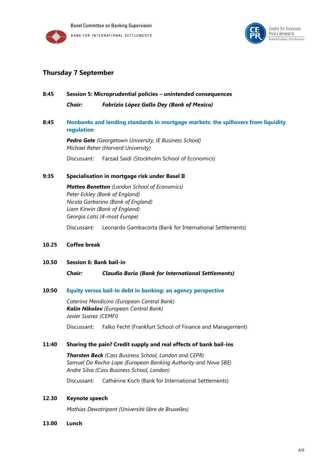



## **Thursday 7 September**

## **8:45 Session 5: Microprudential policies – unintended consequences** *Chair: Fabrizio López Gallo Dey (Bank of Mexico)*

## **8:45 [Nonbanks and lending standards in mortgage markets: the spillovers from liquidity](http://www.bis.org/bcbs/events/rtf_sep2017/gete.pdf)  [regulation](http://www.bis.org/bcbs/events/rtf_sep2017/gete.pdf)**

*Pedro Gete (Georgetown University, IE Business School) Michael Reher (Harvard University)*

Discussant: Farzad Saidi (Stockholm School of Economics)

## **9:35 Specialisation in mortgage risk under Basel II**

*Matteo Benetton (London School of Economics) Peter Eckley (Bank of England) Nicola Garbarino (Bank of England) Liam Kirwin (Bank of England) Georgia Latsi (4-most Europe)*

Discussant: Leonardo Gambacorta (Bank for International Settlements)

## **10.25 Coffee break**

#### **10.50 Session 6: Bank bail-in**

*Chair: Claudio Borio (Bank for International Settlements)*

#### **10:50 [Equity versus bail-in debt in banking: an agency perspective](http://www.bis.org/bcbs/events/rtf_sep2017/mendicino.pdf)**

*Caterina Mendicino (European Central Bank) Kalin Nikolov (European Central Bank) Javier Suarez (CEMFI)*

Discussant: Falko Fecht (Frankfurt School of Finance and Management)

#### **11:40 Sharing the pain? Credit supply and real effects of bank bail-ins**

*Thorsten Beck (Cass Business School, London and CEPR) Samuel Da Rocha-Lope (European Banking Authority and Nova SBE) Andre Silva (Cass Business School, London)*

Discussant: Cathérine Koch (Bank for International Settlements)

### **12.30 Keynote speech**

*Mathias Dewatripont (Université libre de Bruxelles)*

**13.00 Lunch**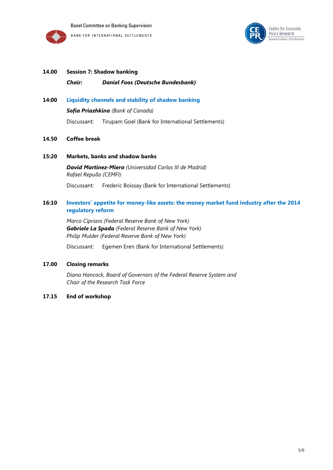



## **14.00 Session 7: Shadow banking** *Chair: Daniel Foos (Deutsche Bundesbank)*

## **14:00 [Liquidity channels and stability of shadow banking](http://www.bis.org/bcbs/events/rtf_sep2017/priazhkina.pdf)**

*Sofia Priazhkina (Bank of Canada)*

Discussant: Tirupam Goel (Bank for International Settlements)

## **14.50 Coffee break**

**15:20 Markets, banks and shadow banks**

*David Martinez-Miera (Universidad Carlos III de Madrid) Rafael Repullo (CEMFI)*

Discussant: Frederic Boissay (Bank for International Settlements)

## **16:10 Investors' [appetite for money-like assets: the money market fund industry](http://www.bis.org/bcbs/events/rtf_sep2017/cipriani.pdf) after the 2014 [regulatory reform](http://www.bis.org/bcbs/events/rtf_sep2017/cipriani.pdf)**

*Marco Cipriani (Federal Reserve Bank of New York) Gabriele La Spada (Federal Reserve Bank of New York) Philip Mulder (Federal Reserve Bank of New York)*

Discussant: Egemen Eren (Bank for International Settlements)

## **17.00 Closing remarks**

*Diana Hancock, Board of Governors of the Federal Reserve System and Chair of the Research Task Force*

## **17.15 End of workshop**